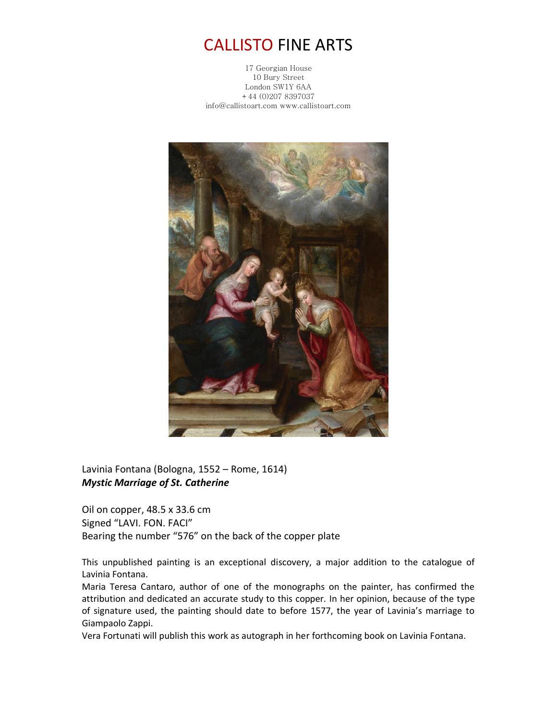## CALLISTO FINE ARTS

17 Georgian House 10 Bury Street London SW1Y 6AA +44 (0)207 8397037 info@callistoart.com www.callistoart.com



Lavinia Fontana (Bologna, 1552 – Rome, 1614) *Mystic Marriage of St. Catherine*

Oil on copper, 48.5 x 33.6 cm Signed "LAVI. FON. FACI" Bearing the number "576" on the back of the copper plate

This unpublished painting is an exceptional discovery, a major addition to the catalogue of Lavinia Fontana.

Maria Teresa Cantaro, author of one of the monographs on the painter, has confirmed the attribution and dedicated an accurate study to this copper. In her opinion, because of the type of signature used, the painting should date to before 1577, the year of Lavinia's marriage to Giampaolo Zappi.

Vera Fortunati will publish this work as autograph in her forthcoming book on Lavinia Fontana.